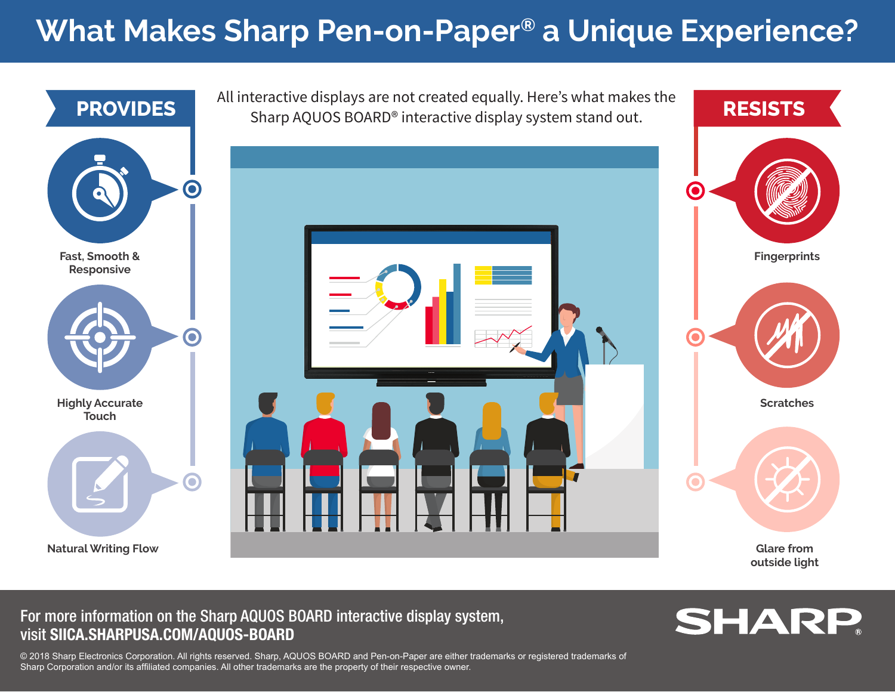## **What Makes Sharp Pen-on-Paper® a Unique Experience?**



All interactive displays are not created equally. Here's what makes the **PROVIDES** Sharp AQUOS BOARD® interactive display system stand out. **RESISTS** 



**Fingerprints Scratches outside light**

For more information on the Sharp AQUOS BOARD interactive display system, visit SIICA.SHARPUSA.COM/AQUOS-BOARD



© 2018 Sharp Electronics Corporation. All rights reserved. Sharp, AQUOS BOARD and Pen-on-Paper are either trademarks or registered trademarks of Sharp Corporation and/or its affiliated companies. All other trademarks are the property of their respective owner.